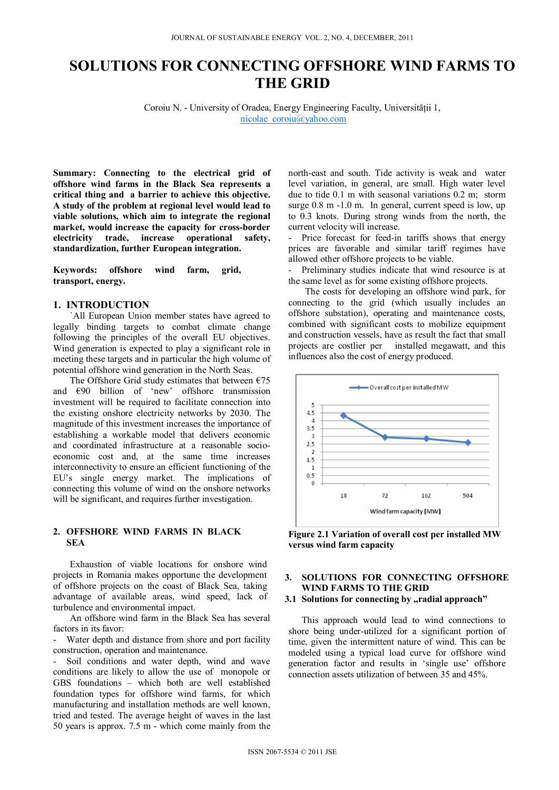# **SOLUTIONS FOR CONNECTING OFFSHORE WIND FARMS TO THE GRID**

Coroiu N. - University of Oradea, Energy Engineering Faculty, Universităţii 1, nicolae\_coroiu@yahoo.com

**Summary: Connecting to the electrical grid of offshore wind farms in the Black Sea represents a critical thing and a barrier to achieve this objective. A study of the problem at regional level would lead to viable solutions, which aim to integrate the regional market, would increase the capacity for cross-border electricity trade, increase operational safety, standardization, further European integration.** 

**Keywords: offshore wind farm, grid, transport, energy.** 

# **1. INTRODUCTION**

`All European Union member states have agreed to legally binding targets to combat climate change following the principles of the overall EU objectives. Wind generation is expected to play a significant role in meeting these targets and in particular the high volume of potential offshore wind generation in the North Seas.

The Offshore Grid study estimates that between  $\epsilon$ 75 and €90 billion of 'new' offshore transmission investment will be required to facilitate connection into the existing onshore electricity networks by 2030. The magnitude of this investment increases the importance of establishing a workable model that delivers economic and coordinated infrastructure at a reasonable socioeconomic cost and, at the same time increases interconnectivity to ensure an efficient functioning of the EU's single energy market. The implications of connecting this volume of wind on the onshore networks will be significant, and requires further investigation.

#### **2. OFFSHORE WIND FARMS IN BLACK SEA**

Exhaustion of viable locations for onshore wind projects in Romania makes opportune the development of offshore projects on the coast of Black Sea, taking advantage of available areas, wind speed, lack of turbulence and environmental impact.

An offshore wind farm in the Black Sea has several factors in its favor:

Water depth and distance from shore and port facility construction, operation and maintenance.

Soil conditions and water depth, wind and wave conditions are likely to allow the use of monopole or GBS foundations – which both are well established foundation types for offshore wind farms, for which manufacturing and installation methods are well known, tried and tested. The average height of waves in the last 50 years is approx. 7.5 m - which come mainly from the

north-east and south. Tide activity is weak and water level variation, in general, are small. High water level due to tide 0.1 m with seasonal variations 0.2 m; storm surge 0.8 m -1.0 m. In general, current speed is low, up to 0.3 knots. During strong winds from the north, the current velocity will increase.

Price forecast for feed-in tariffs shows that energy prices are favorable and similar tariff regimes have allowed other offshore projects to be viable.

- Preliminary studies indicate that wind resource is at the same level as for some existing offshore projects.

The costs for developing an offshore wind park, for connecting to the grid (which usually includes an offshore substation), operating and maintenance costs, combined with significant costs to mobilize equipment and construction vessels, have as result the fact that small projects are costlier per installed megawatt, and this influences also the cost of energy produced.



**Figure 2.1 Variation of overall cost per installed MW versus wind farm capacity** 

# **3. SOLUTIONS FOR CONNECTING OFFSHORE WIND FARMS TO THE GRID**  3.1 Solutions for connecting by "radial approach"

This approach would lead to wind connections to shore being under-utilized for a significant portion of time, given the intermittent nature of wind. This can be modeled using a typical load curve for offshore wind generation factor and results in 'single use' offshore connection assets utilization of between 35 and 45%.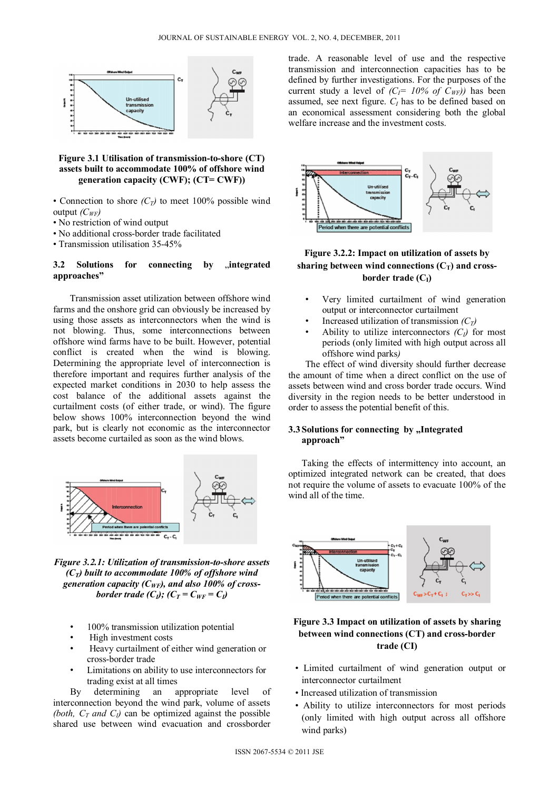

## **Figure 3.1 Utilisation of transmission-to-shore (CT) assets built to accommodate 100% of offshore wind generation capacity (CWF); (CT= CWF))**

- Connection to shore  $(C_T)$  to meet 100% possible wind output *(CWF)*
- No restriction of wind output
- No additional cross-border trade facilitated
- Transmission utilisation 35-45%

### **3.2 Solutions for connecting by .integrated approaches"**

Transmission asset utilization between offshore wind farms and the onshore grid can obviously be increased by using those assets as interconnectors when the wind is not blowing. Thus, some interconnections between offshore wind farms have to be built. However, potential conflict is created when the wind is blowing. Determining the appropriate level of interconnection is therefore important and requires further analysis of the expected market conditions in 2030 to help assess the cost balance of the additional assets against the curtailment costs (of either trade, or wind). The figure below shows 100% interconnection beyond the wind park, but is clearly not economic as the interconnector assets become curtailed as soon as the wind blows.



*Figure 3.2.1: Utilization of transmission-to-shore assets*   $(C_T)$  built to accommodate 100% of offshore wind *generation capacity (CWF), and also 100% of crossborder trade (C<sub>I</sub>); (C<sub>T</sub> = C<sub>WF</sub> = C<sub>I</sub>)* 

- 100% transmission utilization potential
- High investment costs
- Heavy curtailment of either wind generation or cross-border trade
- Limitations on ability to use interconnectors for trading exist at all times

By determining an appropriate level of interconnection beyond the wind park, volume of assets *(both,*  $C_T$  *and*  $C_l$ *)* can be optimized against the possible shared use between wind evacuation and crossborder

trade. A reasonable level of use and the respective transmission and interconnection capacities has to be defined by further investigations. For the purposes of the current study a level of  $(C_I = 10\% \text{ of } C_{WF})$  has been assumed, see next figure.  $C_I$  has to be defined based on an economical assessment considering both the global welfare increase and the investment costs.



# **Figure 3.2.2: Impact on utilization of assets by**  sharing between wind connections  $(C_T)$  and cross**border trade (C<sub>I</sub>)**

- Very limited curtailment of wind generation output or interconnector curtailment
- Increased utilization of transmission  $(C_T)$
- Ability to utilize interconnectors  $(C<sub>l</sub>)$  for most periods (only limited with high output across all offshore wind parks*)*

The effect of wind diversity should further decrease the amount of time when a direct conflict on the use of assets between wind and cross border trade occurs. Wind diversity in the region needs to be better understood in order to assess the potential benefit of this.

## **3.3** Solutions for connecting by "Integrated **approach"**

Taking the effects of intermittency into account, an optimized integrated network can be created, that does not require the volume of assets to evacuate 100% of the wind all of the time.



# **Figure 3.3 Impact on utilization of assets by sharing between wind connections (CT) and cross-border trade (CI)**

- Limited curtailment of wind generation output or interconnector curtailment
- Increased utilization of transmission
- Ability to utilize interconnectors for most periods (only limited with high output across all offshore wind parks)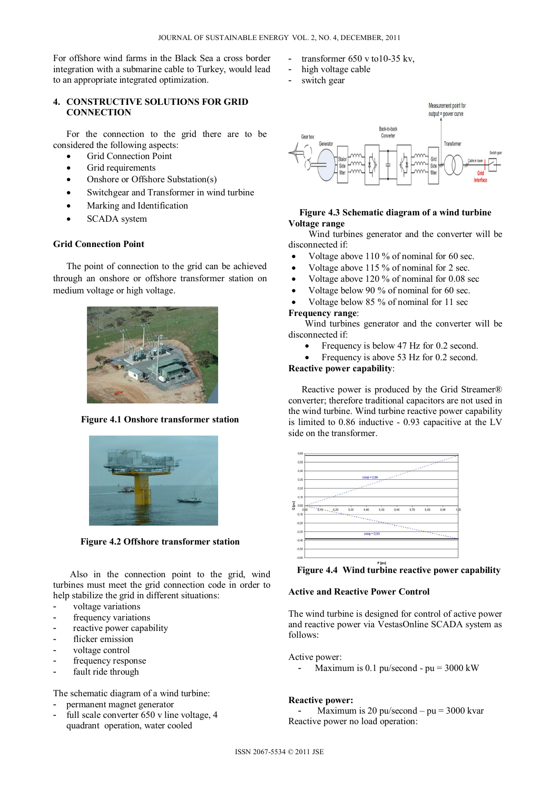For offshore wind farms in the Black Sea a cross border integration with a submarine cable to Turkey, would lead to an appropriate integrated optimization.

# **4. CONSTRUCTIVE SOLUTIONS FOR GRID CONNECTION**

For the connection to the grid there are to be considered the following aspects:

- Grid Connection Point
- Grid requirements
- Onshore or Offshore Substation(s)
- Switchgear and Transformer in wind turbine
- Marking and Identification
- SCADA system

#### **Grid Connection Point**

The point of connection to the grid can be achieved through an onshore or offshore transformer station on medium voltage or high voltage.



**Figure 4.1 Onshore transformer station** 



**Figure 4.2 Offshore transformer station** 

Also in the connection point to the grid, wind turbines must meet the grid connection code in order to help stabilize the grid in different situations:

- voltage variations
- frequency variations
- reactive power capability
- flicker emission
- voltage control
- frequency response
- fault ride through

The schematic diagram of a wind turbine:

- permanent magnet generator
- full scale converter 650 v line voltage, 4 quadrant operation, water cooled
- transformer  $650$  v to  $10-35$  kv,
- high voltage cable
- switch gear



#### **Figure 4.3 Schematic diagram of a wind turbine Voltage range**

Wind turbines generator and the converter will be disconnected if:

- Voltage above 110 % of nominal for 60 sec.
- Voltage above 115 % of nominal for 2 sec.
- Voltage above 120 % of nominal for 0.08 sec
- Voltage below 90 % of nominal for 60 sec.
- Voltage below 85 % of nominal for 11 sec

#### **Frequency range**:

Wind turbines generator and the converter will be disconnected if:

- Frequency is below 47 Hz for 0.2 second.
- Frequency is above 53 Hz for 0.2 second.

**Reactive power capability**:

Reactive power is produced by the Grid Streamer® converter; therefore traditional capacitors are not used in the wind turbine. Wind turbine reactive power capability is limited to 0.86 inductive - 0.93 capacitive at the LV side on the transformer.

|       | 0,60     |                  |                     |      |        |      |      |      |      |    |  |
|-------|----------|------------------|---------------------|------|--------|------|------|------|------|----|--|
| Q[pu] | 0,50     |                  |                     |      |        |      |      |      |      |    |  |
|       |          |                  |                     |      |        |      |      |      |      |    |  |
|       | 0,40     |                  |                     |      |        |      |      |      |      |    |  |
|       | 0,30     | $cos\phi = 0.86$ |                     |      |        |      |      |      |      |    |  |
|       |          |                  |                     |      |        |      |      |      |      |    |  |
|       | 0,20     |                  |                     |      |        |      |      |      |      |    |  |
|       | 0,10     |                  |                     |      |        |      |      |      |      |    |  |
|       | 0,00     |                  |                     |      |        |      |      |      |      |    |  |
|       | 0,00     | $-0.10 - 0.20$   | 0,30                | 0,40 | 0,50   | 0,60 | 0,70 | 0,80 | 0,90 | 1, |  |
|       | $-0, 10$ |                  |                     |      |        |      |      |      |      |    |  |
|       | $-0,20$  |                  |                     |      |        |      |      |      |      |    |  |
|       |          | ÷<br>×<br>×      |                     |      |        |      |      |      |      |    |  |
|       | $-0,30$  |                  | $cos\varphi = 0.93$ |      |        |      |      |      |      |    |  |
|       | $-0,40$  |                  |                     |      |        |      |      |      |      | 64 |  |
|       | $-0,50$  |                  |                     |      |        |      |      |      |      |    |  |
|       |          |                  |                     |      |        |      |      |      |      |    |  |
|       | $-0,60$  |                  |                     |      |        |      |      |      |      |    |  |
|       |          |                  |                     |      | P foul |      |      |      |      |    |  |

**Figure 4.4 Wind turbine reactive power capability** 

# **Active and Reactive Power Control**

The wind turbine is designed for control of active power and reactive power via VestasOnline SCADA system as follows:

Active power:

Maximum is 0.1 pu/second -  $pu = 3000$  kW

# **Reactive power:**

Maximum is 20 pu/second – pu =  $3000$  kvar Reactive power no load operation: